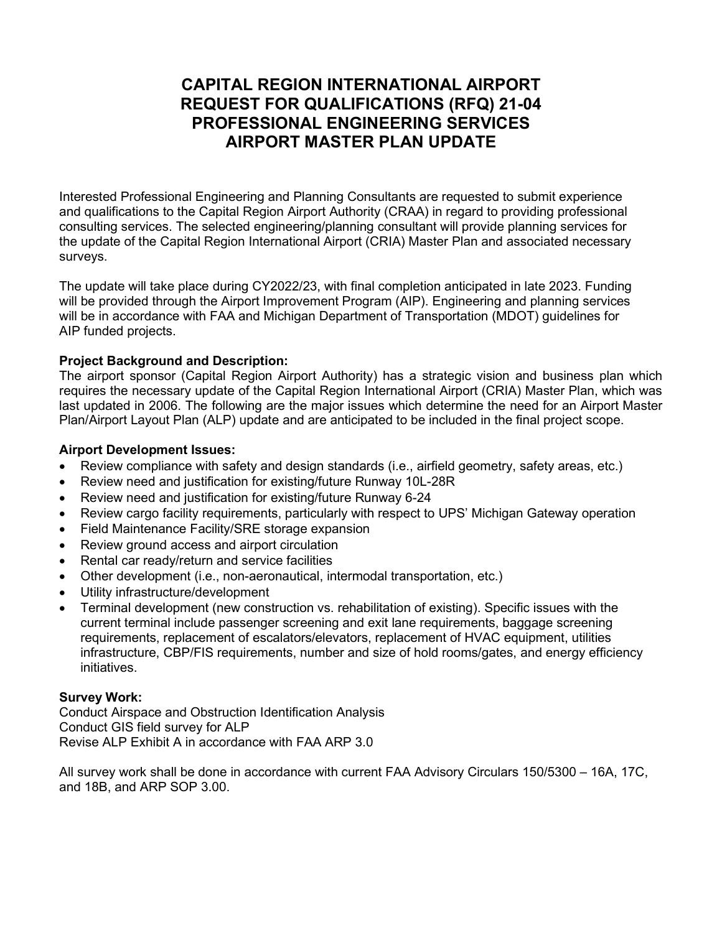# CAPITAL REGION INTERNATIONAL AIRPORT REQUEST FOR QUALIFICATIONS (RFQ) 21-04 PROFESSIONAL ENGINEERING SERVICES AIRPORT MASTER PLAN UPDATE

Interested Professional Engineering and Planning Consultants are requested to submit experience and qualifications to the Capital Region Airport Authority (CRAA) in regard to providing professional consulting services. The selected engineering/planning consultant will provide planning services for the update of the Capital Region International Airport (CRIA) Master Plan and associated necessary surveys.

The update will take place during CY2022/23, with final completion anticipated in late 2023. Funding will be provided through the Airport Improvement Program (AIP). Engineering and planning services will be in accordance with FAA and Michigan Department of Transportation (MDOT) guidelines for AIP funded projects.

## Project Background and Description:

The airport sponsor (Capital Region Airport Authority) has a strategic vision and business plan which requires the necessary update of the Capital Region International Airport (CRIA) Master Plan, which was last updated in 2006. The following are the major issues which determine the need for an Airport Master Plan/Airport Layout Plan (ALP) update and are anticipated to be included in the final project scope.

## Airport Development Issues:

- Review compliance with safety and design standards (i.e., airfield geometry, safety areas, etc.)
- Review need and justification for existing/future Runway 10L-28R
- Review need and justification for existing/future Runway 6-24
- Review cargo facility requirements, particularly with respect to UPS' Michigan Gateway operation
- Field Maintenance Facility/SRE storage expansion
- Review ground access and airport circulation
- Rental car ready/return and service facilities
- Other development (i.e., non-aeronautical, intermodal transportation, etc.)
- Utility infrastructure/development
- Terminal development (new construction vs. rehabilitation of existing). Specific issues with the current terminal include passenger screening and exit lane requirements, baggage screening requirements, replacement of escalators/elevators, replacement of HVAC equipment, utilities infrastructure, CBP/FIS requirements, number and size of hold rooms/gates, and energy efficiency initiatives.

## Survey Work:

Conduct Airspace and Obstruction Identification Analysis Conduct GIS field survey for ALP Revise ALP Exhibit A in accordance with FAA ARP 3.0

All survey work shall be done in accordance with current FAA Advisory Circulars 150/5300 – 16A, 17C, and 18B, and ARP SOP 3.00.